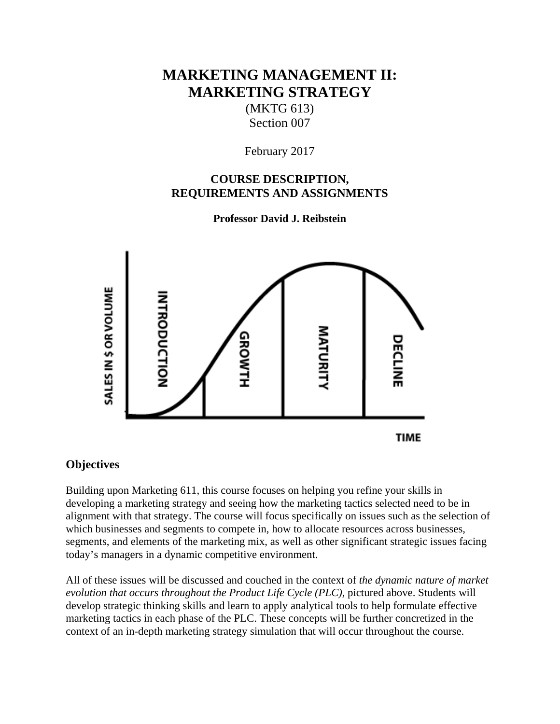# **MARKETING MANAGEMENT II: MARKETING STRATEGY**

(MKTG 613) Section 007

February 2017

### **COURSE DESCRIPTION, REQUIREMENTS AND ASSIGNMENTS**

**Professor David J. Reibstein** 



## **Objectives**

Building upon Marketing 611, this course focuses on helping you refine your skills in developing a marketing strategy and seeing how the marketing tactics selected need to be in alignment with that strategy. The course will focus specifically on issues such as the selection of which businesses and segments to compete in, how to allocate resources across businesses, segments, and elements of the marketing mix, as well as other significant strategic issues facing today's managers in a dynamic competitive environment.

All of these issues will be discussed and couched in the context of *the dynamic nature of market*  evolution that occurs throughout the Product Life Cycle (PLC), pictured above. Students will develop strategic thinking skills and learn to apply analytical tools to help formulate effective marketing tactics in each phase of the PLC. These concepts will be further concretized in the context of an in-depth marketing strategy simulation that will occur throughout the course.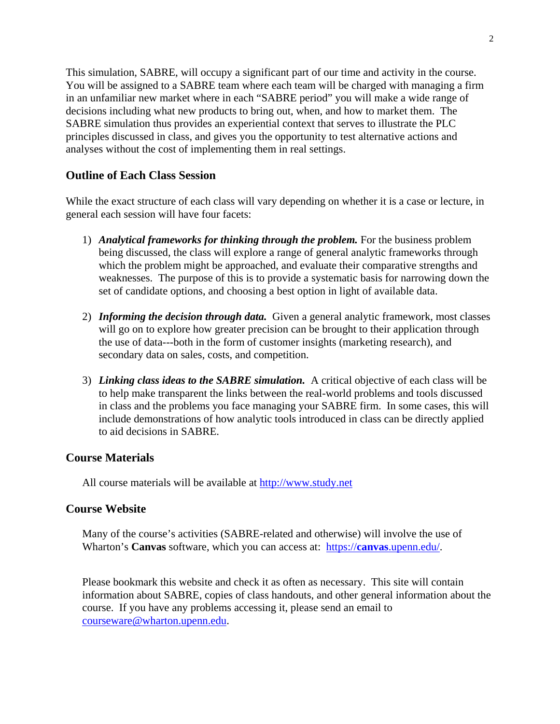This simulation, SABRE, will occupy a significant part of our time and activity in the course. You will be assigned to a SABRE team where each team will be charged with managing a firm in an unfamiliar new market where in each "SABRE period" you will make a wide range of decisions including what new products to bring out, when, and how to market them. The SABRE simulation thus provides an experiential context that serves to illustrate the PLC principles discussed in class, and gives you the opportunity to test alternative actions and analyses without the cost of implementing them in real settings.

#### **Outline of Each Class Session**

While the exact structure of each class will vary depending on whether it is a case or lecture, in general each session will have four facets:

- 1) *Analytical frameworks for thinking through the problem.* For the business problem being discussed, the class will explore a range of general analytic frameworks through which the problem might be approached, and evaluate their comparative strengths and weaknesses. The purpose of this is to provide a systematic basis for narrowing down the set of candidate options, and choosing a best option in light of available data.
- 2) *Informing the decision through data.* Given a general analytic framework, most classes will go on to explore how greater precision can be brought to their application through the use of data---both in the form of customer insights (marketing research), and secondary data on sales, costs, and competition.
- 3) *Linking class ideas to the SABRE simulation.* A critical objective of each class will be to help make transparent the links between the real-world problems and tools discussed in class and the problems you face managing your SABRE firm. In some cases, this will include demonstrations of how analytic tools introduced in class can be directly applied to aid decisions in SABRE.

#### **Course Materials**

All course materials will be available at http://www.study.net

### **Course Website**

Many of the course's activities (SABRE-related and otherwise) will involve the use of Wharton's **Canvas** software, which you can access at: https://**canvas**.upenn.edu/.

 Please bookmark this website and check it as often as necessary. This site will contain information about SABRE, copies of class handouts, and other general information about the course. If you have any problems accessing it, please send an email to courseware@wharton.upenn.edu.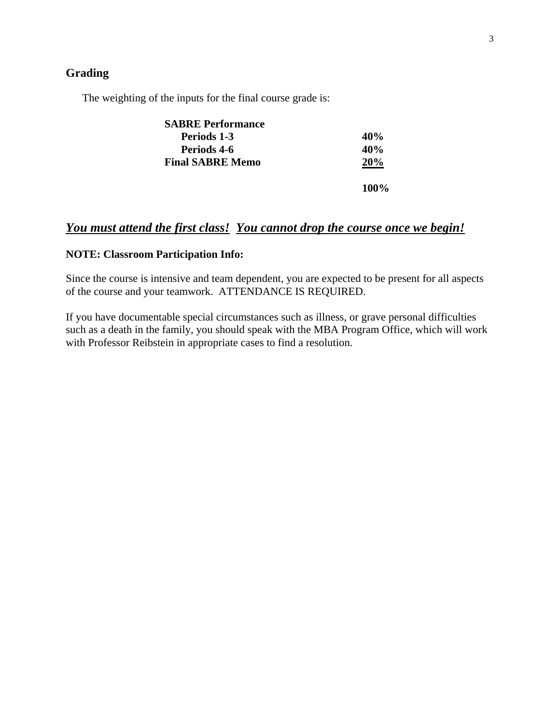#### **Grading**

The weighting of the inputs for the final course grade is:

| <b>SABRE Performance</b> |         |
|--------------------------|---------|
| Periods 1-3              | 40%     |
| Periods 4-6              | 40%     |
| <b>Final SABRE Memo</b>  | 20%     |
|                          | $100\%$ |

# *You must attend the first class! You cannot drop the course once we begin!*

#### **NOTE: Classroom Participation Info:**

Since the course is intensive and team dependent, you are expected to be present for all aspects of the course and your teamwork. ATTENDANCE IS REQUIRED.

If you have documentable special circumstances such as illness, or grave personal difficulties such as a death in the family, you should speak with the MBA Program Office, which will work with Professor Reibstein in appropriate cases to find a resolution.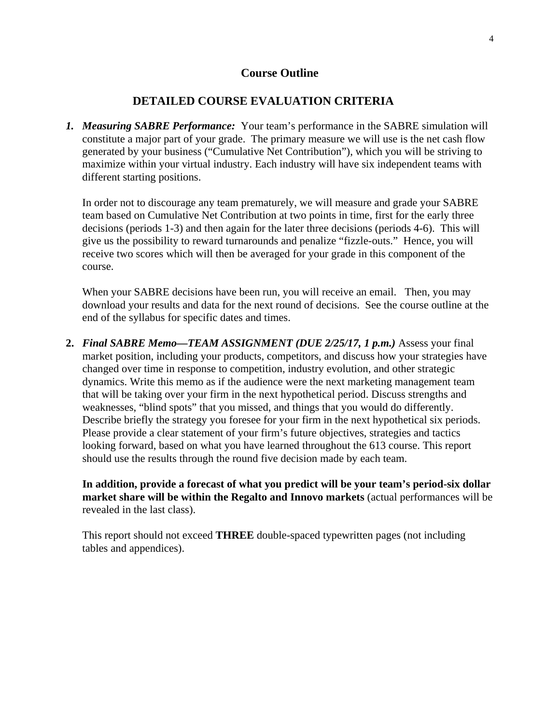#### **Course Outline**

#### **DETAILED COURSE EVALUATION CRITERIA**

*1. Measuring SABRE Performance:* Your team's performance in the SABRE simulation will constitute a major part of your grade. The primary measure we will use is the net cash flow generated by your business ("Cumulative Net Contribution"), which you will be striving to maximize within your virtual industry. Each industry will have six independent teams with different starting positions.

In order not to discourage any team prematurely, we will measure and grade your SABRE team based on Cumulative Net Contribution at two points in time, first for the early three decisions (periods 1-3) and then again for the later three decisions (periods 4-6). This will give us the possibility to reward turnarounds and penalize "fizzle-outs." Hence, you will receive two scores which will then be averaged for your grade in this component of the course.

When your SABRE decisions have been run, you will receive an email. Then, you may download your results and data for the next round of decisions. See the course outline at the end of the syllabus for specific dates and times.

**2.** *Final SABRE Memo—TEAM ASSIGNMENT (DUE 2/25/17, 1 p.m.)* Assess your final market position, including your products, competitors, and discuss how your strategies have changed over time in response to competition, industry evolution, and other strategic dynamics. Write this memo as if the audience were the next marketing management team that will be taking over your firm in the next hypothetical period. Discuss strengths and weaknesses, "blind spots" that you missed, and things that you would do differently. Describe briefly the strategy you foresee for your firm in the next hypothetical six periods. Please provide a clear statement of your firm's future objectives, strategies and tactics looking forward, based on what you have learned throughout the 613 course. This report should use the results through the round five decision made by each team.

**In addition, provide a forecast of what you predict will be your team's period-six dollar market share will be within the Regalto and Innovo markets** (actual performances will be revealed in the last class).

This report should not exceed **THREE** double-spaced typewritten pages (not including tables and appendices).